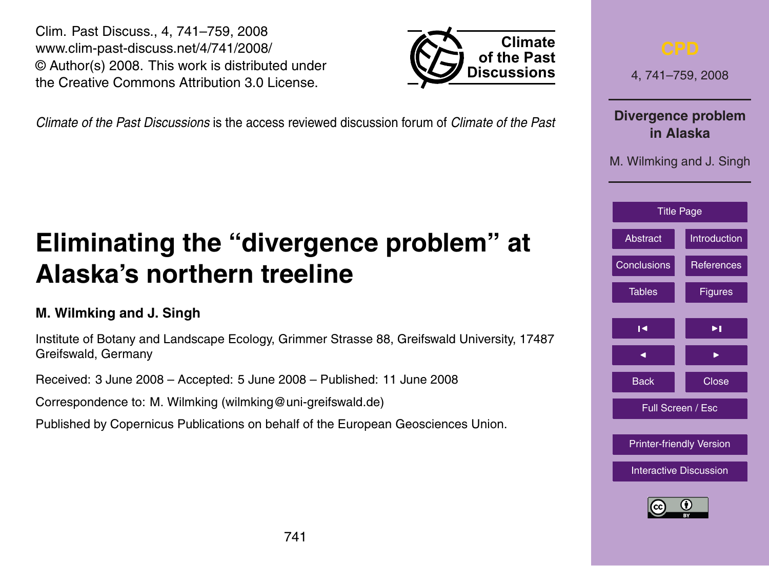741

<span id="page-0-0"></span>Clim. Past Discuss., 4, 741–759, 2008 www.clim-past-discuss.net/4/741/2008/ © Author(s) 2008. This work is distributed under the Creative Commons Attribution 3.0 License.

*Climate of the Past Discussions* is the access reviewed discussion forum of *Climate of the Past*

# **Eliminating the "divergence problem" at Alaska's northern treeline**

## **M. Wilmking and J. Singh**

Institute of Botany and Landscape Ecology, Grimmer Strasse 88, Greifswald University, 17487 Greifswald, Germany

Received: 3 June 2008 – Accepted: 5 June 2008 – Published: 11 June 2008

Correspondence to: M. Wilmking (wilmking@uni-greifswald.de)

Published by Copernicus Publications on behalf of the European Geosciences Union.



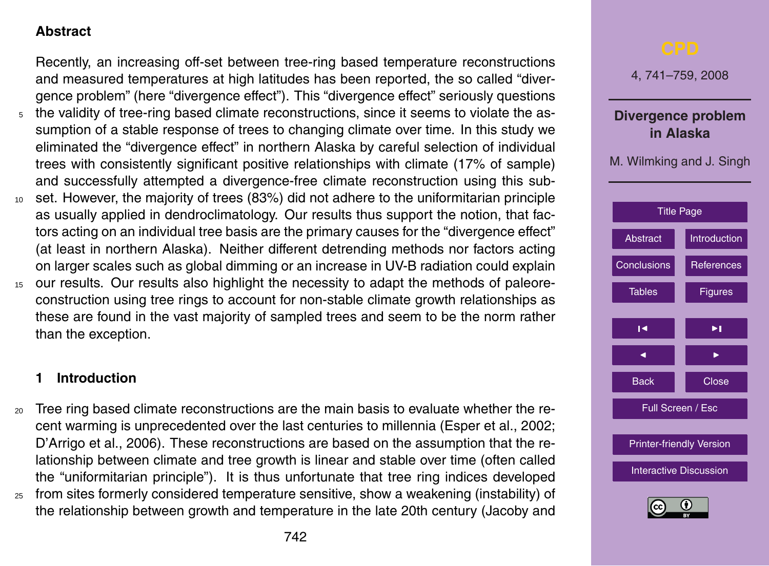#### <span id="page-1-0"></span>**Abstract**

Recently, an increasing off-set between tree-ring based temperature reconstructions and measured temperatures at high latitudes has been reported, the so called "divergence problem" (here "divergence effect"). This "divergence effect" seriously questions

- <sup>5</sup> the validity of tree-ring based climate reconstructions, since it seems to violate the assumption of a stable response of trees to changing climate over time. In this study we eliminated the "divergence effect" in northern Alaska by careful selection of individual trees with consistently significant positive relationships with climate (17% of sample) and successfully attempted a divergence-free climate reconstruction using this sub-
- <sup>10</sup> set. However, the majority of trees (83%) did not adhere to the uniformitarian principle as usually applied in dendroclimatology. Our results thus support the notion, that factors acting on an individual tree basis are the primary causes for the "divergence effect" (at least in northern Alaska). Neither different detrending methods nor factors acting on larger scales such as global dimming or an increase in UV-B radiation could explain
- 15 our results. Our results also highlight the necessity to adapt the methods of paleoreconstruction using tree rings to account for non-stable climate growth relationships as these are found in the vast majority of sampled trees and seem to be the norm rather than the exception.

#### **1 Introduction**

<sup>20</sup> Tree ring based climate reconstructions are the main basis to evaluate whether the recent warming is unprecedented over the last centuries to millennia (Esper et al., 2002; D'Arrigo et al., 2006). These reconstructions are based on the assumption that the relationship between climate and tree growth is linear and stable over time (often called the "uniformitarian principle"). It is thus unfortunate that tree ring indices developed <sup>25</sup> from sites formerly considered temperature sensitive, show a weakening (instability) of



the relationship between growth and temperature in the late 20th century (Jacoby and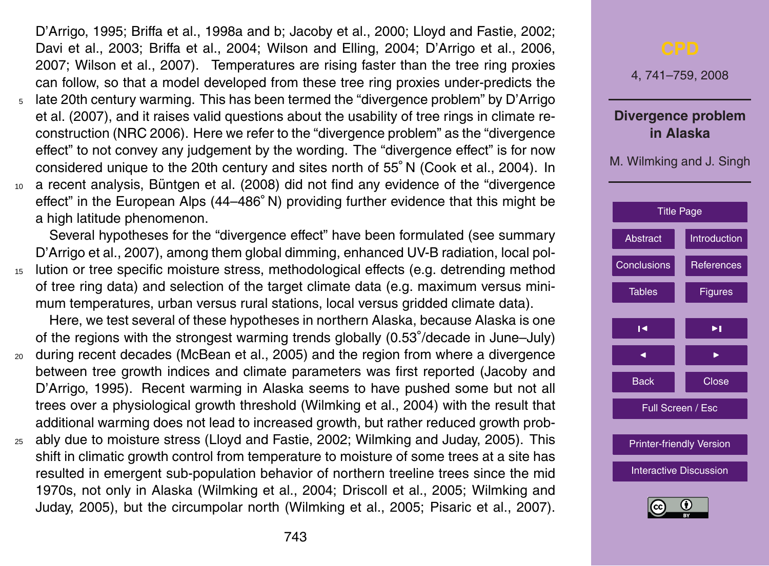D'Arrigo, 1995; Briffa et al., 1998a and b; Jacoby et al., 2000; Lloyd and Fastie, 2002; Davi et al., 2003; Briffa et al., 2004; Wilson and Elling, 2004; D'Arrigo et al., 2006, 2007; Wilson et al., 2007). Temperatures are rising faster than the tree ring proxies can follow, so that a model developed from these tree ring proxies under-predicts the

- <sup>5</sup> late 20th century warming. This has been termed the "divergence problem" by D'Arrigo et al. (2007), and it raises valid questions about the usability of tree rings in climate reconstruction (NRC 2006). Here we refer to the "divergence problem" as the "divergence effect" to not convey any judgement by the wording. The "divergence effect" is for now considered unique to the 20th century and sites north of 55◦ N (Cook et al., 2004). In
- $10<sub>10</sub>$  a recent analysis, Büntgen et al. (2008) did not find any evidence of the "divergence effect" in the European Alps (44–486◦ N) providing further evidence that this might be a high latitude phenomenon.

Several hypotheses for the "divergence effect" have been formulated (see summary D'Arrigo et al., 2007), among them global dimming, enhanced UV-B radiation, local pol-<sup>15</sup> lution or tree specific moisture stress, methodological effects (e.g. detrending method of tree ring data) and selection of the target climate data (e.g. maximum versus minimum temperatures, urban versus rural stations, local versus gridded climate data).

Here, we test several of these hypotheses in northern Alaska, because Alaska is one of the regions with the strongest warming trends globally (0.53◦ /decade in June–July)

- <sup>20</sup> during recent decades (McBean et al., 2005) and the region from where a divergence between tree growth indices and climate parameters was first reported (Jacoby and D'Arrigo, 1995). Recent warming in Alaska seems to have pushed some but not all trees over a physiological growth threshold (Wilmking et al., 2004) with the result that additional warming does not lead to increased growth, but rather reduced growth prob-
- <sup>25</sup> ably due to moisture stress (Lloyd and Fastie, 2002; Wilmking and Juday, 2005). This shift in climatic growth control from temperature to moisture of some trees at a site has resulted in emergent sub-population behavior of northern treeline trees since the mid 1970s, not only in Alaska (Wilmking et al., 2004; Driscoll et al., 2005; Wilmking and Juday, 2005), but the circumpolar north (Wilmking et al., 2005; Pisaric et al., 2007).

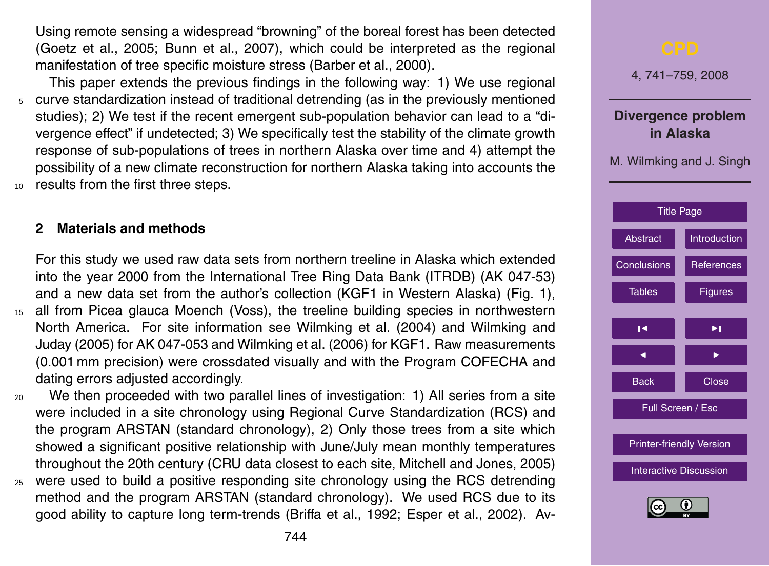Using remote sensing a widespread "browning" of the boreal forest has been detected (Goetz et al., 2005; Bunn et al., 2007), which could be interpreted as the regional manifestation of tree specific moisture stress (Barber et al., 2000).

This paper extends the previous findings in the following way: 1) We use regional <sup>5</sup> curve standardization instead of traditional detrending (as in the previously mentioned studies); 2) We test if the recent emergent sub-population behavior can lead to a "divergence effect" if undetected; 3) We specifically test the stability of the climate growth response of sub-populations of trees in northern Alaska over time and 4) attempt the possibility of a new climate reconstruction for northern Alaska taking into accounts the 10 results from the first three steps.

#### **2 Materials and methods**

For this study we used raw data sets from northern treeline in Alaska which extended into the year 2000 from the International Tree Ring Data Bank (ITRDB) (AK 047-53) and a new data set from the author's collection (KGF1 in Western Alaska) (Fig. 1), <sup>15</sup> all from Picea glauca Moench (Voss), the treeline building species in northwestern North America. For site information see Wilmking et al. (2004) and Wilmking and Juday (2005) for AK 047-053 and Wilmking et al. (2006) for KGF1. Raw measurements (0.001 mm precision) were crossdated visually and with the Program COFECHA and dating errors adjusted accordingly.

<sup>20</sup> We then proceeded with two parallel lines of investigation: 1) All series from a site were included in a site chronology using Regional Curve Standardization (RCS) and the program ARSTAN (standard chronology), 2) Only those trees from a site which showed a significant positive relationship with June/July mean monthly temperatures throughout the 20th century (CRU data closest to each site, Mitchell and Jones, 2005) <sup>25</sup> were used to build a positive responding site chronology using the RCS detrending method and the program ARSTAN (standard chronology). We used RCS due to its

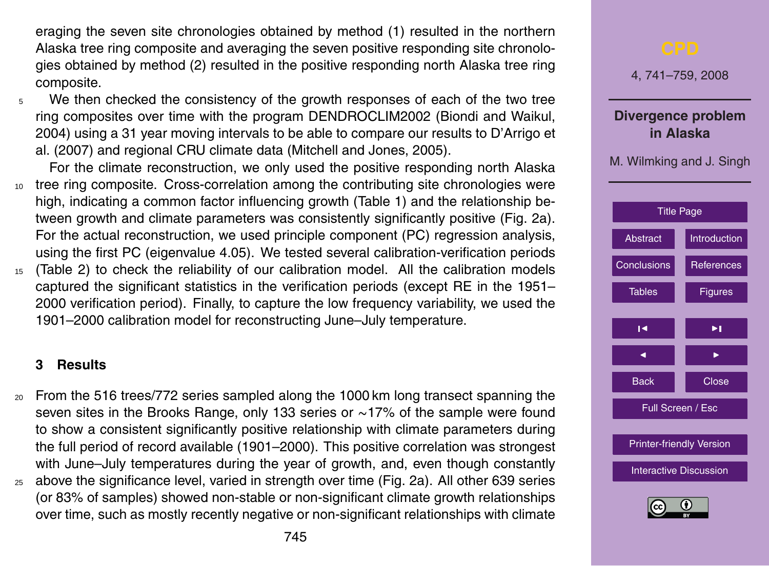eraging the seven site chronologies obtained by method (1) resulted in the northern Alaska tree ring composite and averaging the seven positive responding site chronologies obtained by method (2) resulted in the positive responding north Alaska tree ring composite.

<sup>5</sup> We then checked the consistency of the growth responses of each of the two tree ring composites over time with the program DENDROCLIM2002 (Biondi and Waikul, 2004) using a 31 year moving intervals to be able to compare our results to D'Arrigo et al. (2007) and regional CRU climate data (Mitchell and Jones, 2005).

For the climate reconstruction, we only used the positive responding north Alaska 10 tree ring composite. Cross-correlation among the contributing site chronologies were high, indicating a common factor influencing growth (Table 1) and the relationship between growth and climate parameters was consistently significantly positive (Fig. 2a). For the actual reconstruction, we used principle component (PC) regression analysis, using the first PC (eigenvalue 4.05). We tested several calibration-verification periods <sup>15</sup> (Table 2) to check the reliability of our calibration model. All the calibration models captured the significant statistics in the verification periods (except RE in the 1951– 2000 verification period). Finally, to capture the low frequency variability, we used the 1901–2000 calibration model for reconstructing June–July temperature.

#### **3 Results**

<sup>20</sup> From the 516 trees/772 series sampled along the 1000 km long transect spanning the seven sites in the Brooks Range, only 133 series or ~17% of the sample were found to show a consistent significantly positive relationship with climate parameters during the full period of record available (1901–2000). This positive correlation was strongest with June–July temperatures during the year of growth, and, even though constantly <sup>25</sup> above the significance level, varied in strength over time (Fig. 2a). All other 639 series (or 83% of samples) showed non-stable or non-significant climate growth relationships over time, such as mostly recently negative or non-significant relationships with climate

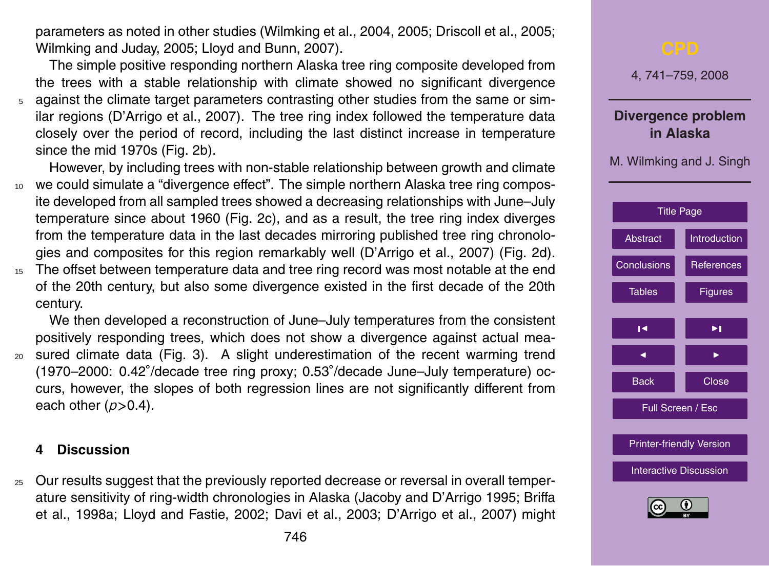parameters as noted in other studies (Wilmking et al., 2004, 2005; Driscoll et al., 2005; Wilmking and Juday, 2005; Lloyd and Bunn, 2007).

The simple positive responding northern Alaska tree ring composite developed from the trees with a stable relationship with climate showed no significant divergence <sup>5</sup> against the climate target parameters contrasting other studies from the same or similar regions (D'Arrigo et al., 2007). The tree ring index followed the temperature data closely over the period of record, including the last distinct increase in temperature since the mid 1970s (Fig. 2b).

However, by including trees with non-stable relationship between growth and climate <sup>10</sup> we could simulate a "divergence effect". The simple northern Alaska tree ring composite developed from all sampled trees showed a decreasing relationships with June–July temperature since about 1960 (Fig. 2c), and as a result, the tree ring index diverges from the temperature data in the last decades mirroring published tree ring chronologies and composites for this region remarkably well (D'Arrigo et al., 2007) (Fig. 2d).

15 The offset between temperature data and tree ring record was most notable at the end of the 20th century, but also some divergence existed in the first decade of the 20th century.

We then developed a reconstruction of June–July temperatures from the consistent positively responding trees, which does not show a divergence against actual mea-<sup>20</sup> sured climate data (Fig. 3). A slight underestimation of the recent warming trend (1970–2000: 0.42◦ /decade tree ring proxy; 0.53◦ /decade June–July temperature) occurs, however, the slopes of both regression lines are not significantly different from each other (*p>*0.4).

#### **4 Discussion**

<sup>25</sup> Our results suggest that the previously reported decrease or reversal in overall temperature sensitivity of ring-width chronologies in Alaska (Jacoby and D'Arrigo 1995; Briffa et al., 1998a; Lloyd and Fastie, 2002; Davi et al., 2003; D'Arrigo et al., 2007) might

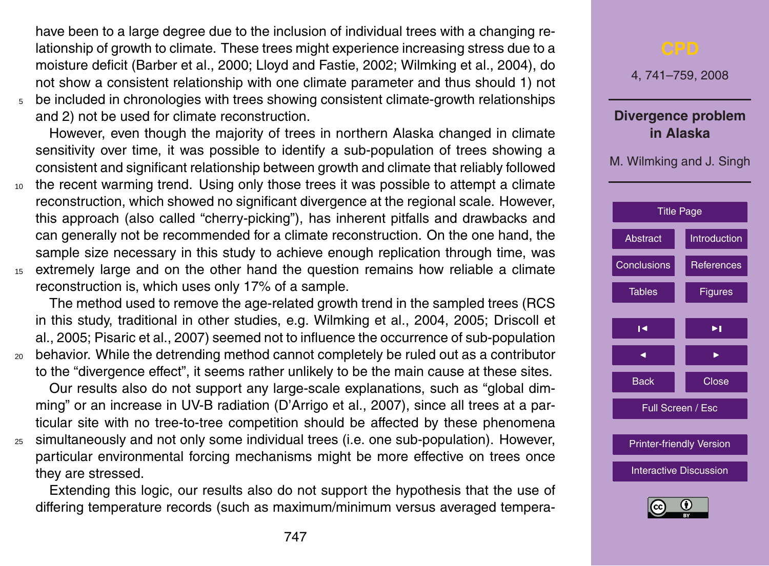have been to a large degree due to the inclusion of individual trees with a changing relationship of growth to climate. These trees might experience increasing stress due to a moisture deficit (Barber et al., 2000; Lloyd and Fastie, 2002; Wilmking et al., 2004), do not show a consistent relationship with one climate parameter and thus should 1) not <sup>5</sup> be included in chronologies with trees showing consistent climate-growth relationships

and 2) not be used for climate reconstruction.

However, even though the majority of trees in northern Alaska changed in climate sensitivity over time, it was possible to identify a sub-population of trees showing a consistent and significant relationship between growth and climate that reliably followed

- <sup>10</sup> the recent warming trend. Using only those trees it was possible to attempt a climate reconstruction, which showed no significant divergence at the regional scale. However, this approach (also called "cherry-picking"), has inherent pitfalls and drawbacks and can generally not be recommended for a climate reconstruction. On the one hand, the sample size necessary in this study to achieve enough replication through time, was <sup>15</sup> extremely large and on the other hand the question remains how reliable a climate
	- reconstruction is, which uses only 17% of a sample.

The method used to remove the age-related growth trend in the sampled trees (RCS in this study, traditional in other studies, e.g. Wilmking et al., 2004, 2005; Driscoll et al., 2005; Pisaric et al., 2007) seemed not to influence the occurrence of sub-population <sup>20</sup> behavior. While the detrending method cannot completely be ruled out as a contributor to the "divergence effect", it seems rather unlikely to be the main cause at these sites.

Our results also do not support any large-scale explanations, such as "global dimming" or an increase in UV-B radiation (D'Arrigo et al., 2007), since all trees at a particular site with no tree-to-tree competition should be affected by these phenomena <sup>25</sup> simultaneously and not only some individual trees (i.e. one sub-population). However,

particular environmental forcing mechanisms might be more effective on trees once they are stressed.

Extending this logic, our results also do not support the hypothesis that the use of differing temperature records (such as maximum/minimum versus averaged tempera-

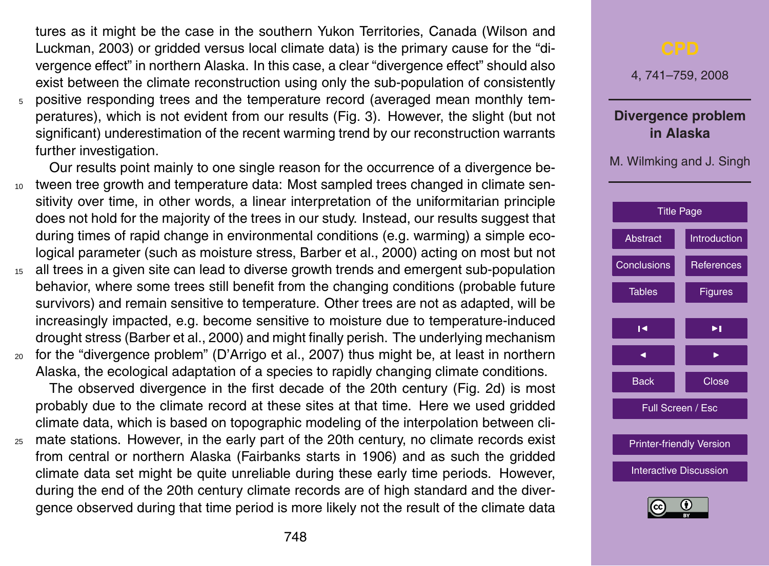tures as it might be the case in the southern Yukon Territories, Canada (Wilson and Luckman, 2003) or gridded versus local climate data) is the primary cause for the "divergence effect" in northern Alaska. In this case, a clear "divergence effect" should also exist between the climate reconstruction using only the sub-population of consistently <sup>5</sup> positive responding trees and the temperature record (averaged mean monthly temperatures), which is not evident from our results (Fig. 3). However, the slight (but not significant) underestimation of the recent warming trend by our reconstruction warrants further investigation.

Our results point mainly to one single reason for the occurrence of a divergence be-<sup>10</sup> tween tree growth and temperature data: Most sampled trees changed in climate sensitivity over time, in other words, a linear interpretation of the uniformitarian principle does not hold for the majority of the trees in our study. Instead, our results suggest that during times of rapid change in environmental conditions (e.g. warming) a simple ecological parameter (such as moisture stress, Barber et al., 2000) acting on most but not

- <sup>15</sup> all trees in a given site can lead to diverse growth trends and emergent sub-population behavior, where some trees still benefit from the changing conditions (probable future survivors) and remain sensitive to temperature. Other trees are not as adapted, will be increasingly impacted, e.g. become sensitive to moisture due to temperature-induced drought stress (Barber et al., 2000) and might finally perish. The underlying mechanism
- <sup>20</sup> for the "divergence problem" (D'Arrigo et al., 2007) thus might be, at least in northern Alaska, the ecological adaptation of a species to rapidly changing climate conditions.

The observed divergence in the first decade of the 20th century (Fig. 2d) is most probably due to the climate record at these sites at that time. Here we used gridded climate data, which is based on topographic modeling of the interpolation between cli-

<sup>25</sup> mate stations. However, in the early part of the 20th century, no climate records exist from central or northern Alaska (Fairbanks starts in 1906) and as such the gridded climate data set might be quite unreliable during these early time periods. However, during the end of the 20th century climate records are of high standard and the divergence observed during that time period is more likely not the result of the climate data

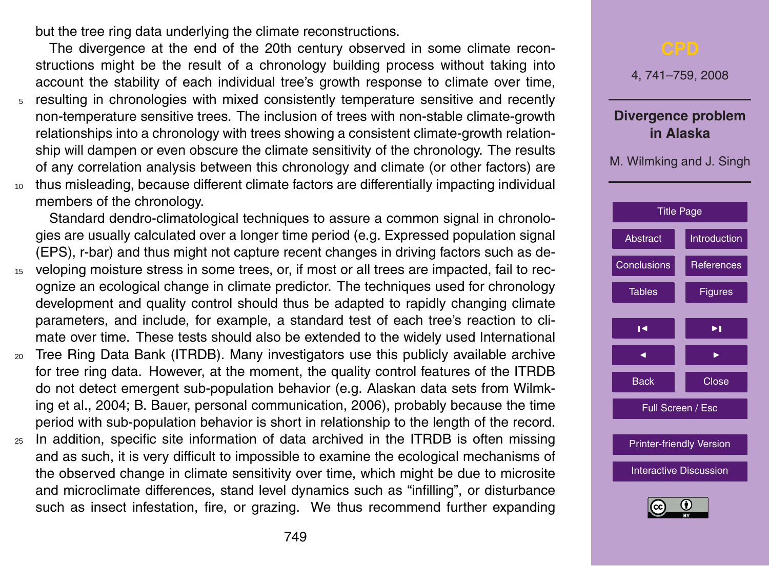but the tree ring data underlying the climate reconstructions.

The divergence at the end of the 20th century observed in some climate reconstructions might be the result of a chronology building process without taking into account the stability of each individual tree's growth response to climate over time,

- <sup>5</sup> resulting in chronologies with mixed consistently temperature sensitive and recently non-temperature sensitive trees. The inclusion of trees with non-stable climate-growth relationships into a chronology with trees showing a consistent climate-growth relationship will dampen or even obscure the climate sensitivity of the chronology. The results of any correlation analysis between this chronology and climate (or other factors) are <sup>10</sup> thus misleading, because different climate factors are differentially impacting individual
- members of the chronology.

Standard dendro-climatological techniques to assure a common signal in chronologies are usually calculated over a longer time period (e.g. Expressed population signal (EPS), r-bar) and thus might not capture recent changes in driving factors such as de-

- <sup>15</sup> veloping moisture stress in some trees, or, if most or all trees are impacted, fail to recognize an ecological change in climate predictor. The techniques used for chronology development and quality control should thus be adapted to rapidly changing climate parameters, and include, for example, a standard test of each tree's reaction to climate over time. These tests should also be extended to the widely used International
- <sup>20</sup> Tree Ring Data Bank (ITRDB). Many investigators use this publicly available archive for tree ring data. However, at the moment, the quality control features of the ITRDB do not detect emergent sub-population behavior (e.g. Alaskan data sets from Wilmking et al., 2004; B. Bauer, personal communication, 2006), probably because the time period with sub-population behavior is short in relationship to the length of the record.
- <sup>25</sup> In addition, specific site information of data archived in the ITRDB is often missing and as such, it is very difficult to impossible to examine the ecological mechanisms of the observed change in climate sensitivity over time, which might be due to microsite and microclimate differences, stand level dynamics such as "infilling", or disturbance such as insect infestation, fire, or grazing. We thus recommend further expanding

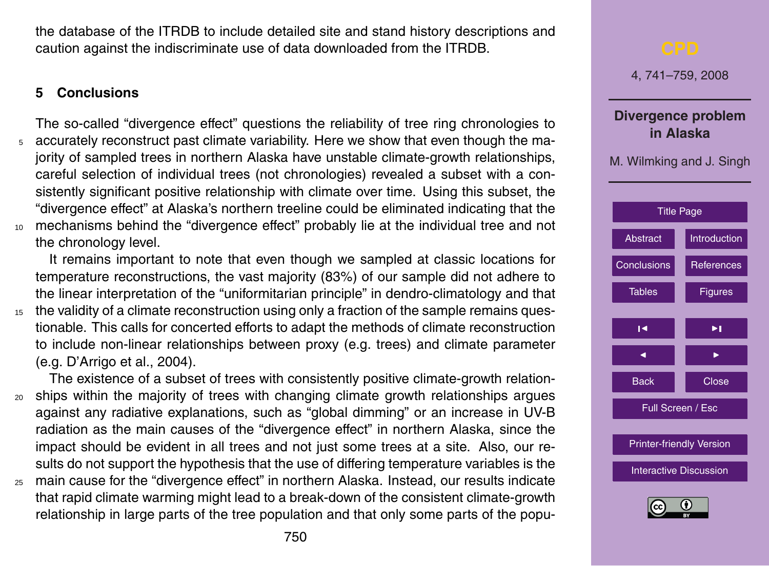<span id="page-9-0"></span>the database of the ITRDB to include detailed site and stand history descriptions and caution against the indiscriminate use of data downloaded from the ITRDB.

#### **5 Conclusions**

The so-called "divergence effect" questions the reliability of tree ring chronologies to <sup>5</sup> accurately reconstruct past climate variability. Here we show that even though the majority of sampled trees in northern Alaska have unstable climate-growth relationships, careful selection of individual trees (not chronologies) revealed a subset with a consistently significant positive relationship with climate over time. Using this subset, the "divergence effect" at Alaska's northern treeline could be eliminated indicating that the <sup>10</sup> mechanisms behind the "divergence effect" probably lie at the individual tree and not the chronology level.

It remains important to note that even though we sampled at classic locations for temperature reconstructions, the vast majority (83%) of our sample did not adhere to the linear interpretation of the "uniformitarian principle" in dendro-climatology and that <sup>15</sup> the validity of a climate reconstruction using only a fraction of the sample remains questionable. This calls for concerted efforts to adapt the methods of climate reconstruction to include non-linear relationships between proxy (e.g. trees) and climate parameter (e.g. D'Arrigo et al., 2004).

The existence of a subset of trees with consistently positive climate-growth relation-<sup>20</sup> ships within the majority of trees with changing climate growth relationships argues against any radiative explanations, such as "global dimming" or an increase in UV-B radiation as the main causes of the "divergence effect" in northern Alaska, since the impact should be evident in all trees and not just some trees at a site. Also, our results do not support the hypothesis that the use of differing temperature variables is the <sup>25</sup> main cause for the "divergence effect" in northern Alaska. Instead, our results indicate that rapid climate warming might lead to a break-down of the consistent climate-growth relationship in large parts of the tree population and that only some parts of the popu-

4, 741–759, 2008 **Divergence problem in Alaska** M. Wilmking and J. Singh [Title Page](#page-0-0) [Abstract](#page-1-0) **[Introduction](#page-1-0)** Conclusions **[References](#page-11-0)** [Tables](#page-14-0) **[Figures](#page-16-0)**  $\overline{\phantom{a}}$  $\overline{\phantom{a}}$ Back **N** Close Full Screen / Esc [Printer-friendly Version](http://www.clim-past-discuss.net/4/741/2008/cpd-4-741-2008-print.pdf) [Interactive Discussion](http://www.clim-past-discuss.net/4/741/2008/cpd-4-741-2008-discussion.html)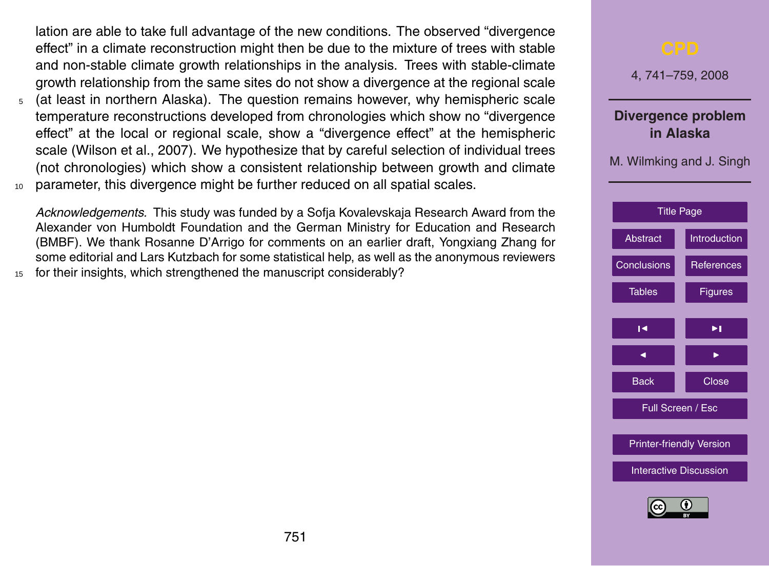lation are able to take full advantage of the new conditions. The observed "divergence effect" in a climate reconstruction might then be due to the mixture of trees with stable and non-stable climate growth relationships in the analysis. Trees with stable-climate growth relationship from the same sites do not show a divergence at the regional scale

- <sup>5</sup> (at least in northern Alaska). The question remains however, why hemispheric scale temperature reconstructions developed from chronologies which show no "divergence effect" at the local or regional scale, show a "divergence effect" at the hemispheric scale (Wilson et al., 2007). We hypothesize that by careful selection of individual trees (not chronologies) which show a consistent relationship between growth and climate
- <sup>10</sup> parameter, this divergence might be further reduced on all spatial scales.

*Acknowledgements.* This study was funded by a Sofja Kovalevskaja Research Award from the Alexander von Humboldt Foundation and the German Ministry for Education and Research (BMBF). We thank Rosanne D'Arrigo for comments on an earlier draft, Yongxiang Zhang for some editorial and Lars Kutzbach for some statistical help, as well as the anonymous reviewers

for their insights, which strengthened the manuscript considerably?

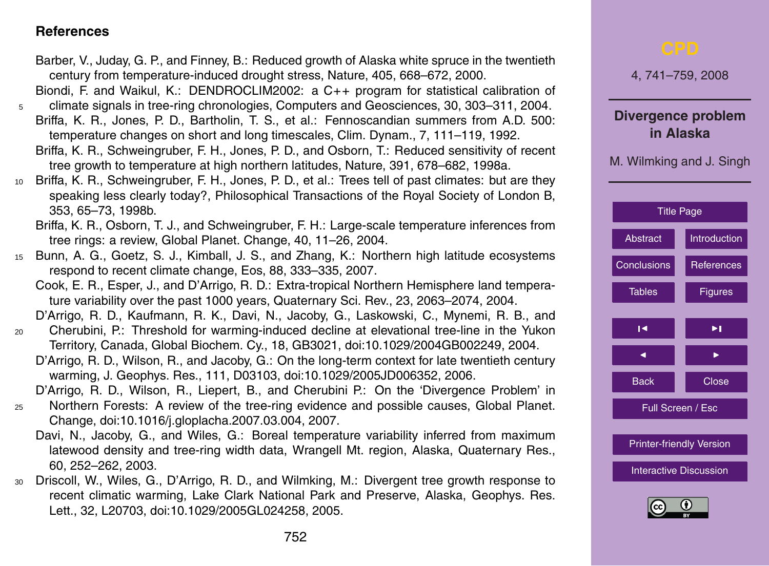#### <span id="page-11-0"></span>**References**

- Barber, V., Juday, G. P., and Finney, B.: Reduced growth of Alaska white spruce in the twentieth century from temperature-induced drought stress, Nature, 405, 668–672, 2000.
- Biondi, F. and Waikul, K.: DENDROCLIM2002: a C++ program for statistical calibration of <sup>5</sup> climate signals in tree-ring chronologies, Computers and Geosciences, 30, 303–311, 2004.
	- Briffa, K. R., Jones, P. D., Bartholin, T. S., et al.: Fennoscandian summers from A.D. 500: temperature changes on short and long timescales, Clim. Dynam., 7, 111–119, 1992.
	- Briffa, K. R., Schweingruber, F. H., Jones, P. D., and Osborn, T.: Reduced sensitivity of recent tree growth to temperature at high northern latitudes, Nature, 391, 678–682, 1998a.
- <sup>10</sup> Briffa, K. R., Schweingruber, F. H., Jones, P. D., et al.: Trees tell of past climates: but are they speaking less clearly today?, Philosophical Transactions of the Royal Society of London B, 353, 65–73, 1998b.
	- Briffa, K. R., Osborn, T. J., and Schweingruber, F. H.: Large-scale temperature inferences from tree rings: a review, Global Planet. Change, 40, 11–26, 2004.
- <sup>15</sup> Bunn, A. G., Goetz, S. J., Kimball, J. S., and Zhang, K.: Northern high latitude ecosystems respond to recent climate change, Eos, 88, 333–335, 2007.
	- Cook, E. R., Esper, J., and D'Arrigo, R. D.: Extra-tropical Northern Hemisphere land temperature variability over the past 1000 years, Quaternary Sci. Rev., 23, 2063–2074, 2004.
	- D'Arrigo, R. D., Kaufmann, R. K., Davi, N., Jacoby, G., Laskowski, C., Mynemi, R. B., and
- <sup>20</sup> Cherubini, P.: Threshold for warming-induced decline at elevational tree-line in the Yukon Territory, Canada, Global Biochem. Cy., 18, GB3021, doi:10.1029/2004GB002249, 2004.
	- D'Arrigo, R. D., Wilson, R., and Jacoby, G.: On the long-term context for late twentieth century warming, J. Geophys. Res., 111, D03103, doi:10.1029/2005JD006352, 2006.
	- D'Arrigo, R. D., Wilson, R., Liepert, B., and Cherubini P.: On the 'Divergence Problem' in
- <sup>25</sup> Northern Forests: A review of the tree-ring evidence and possible causes, Global Planet. Change, doi:10.1016/j.gloplacha.2007.03.004, 2007.
	- Davi, N., Jacoby, G., and Wiles, G.: Boreal temperature variability inferred from maximum latewood density and tree-ring width data, Wrangell Mt. region, Alaska, Quaternary Res., 60, 252–262, 2003.
- <sup>30</sup> Driscoll, W., Wiles, G., D'Arrigo, R. D., and Wilmking, M.: Divergent tree growth response to recent climatic warming, Lake Clark National Park and Preserve, Alaska, Geophys. Res. Lett., 32, L20703, doi:10.1029/2005GL024258, 2005.

| ${\sf CPD}$                                                 |                     |  |  |  |  |
|-------------------------------------------------------------|---------------------|--|--|--|--|
| 4, 741-759, 2008                                            |                     |  |  |  |  |
| Divergence problem<br>in Alaska<br>M. Wilmking and J. Singh |                     |  |  |  |  |
| <b>Title Page</b>                                           |                     |  |  |  |  |
| Abstract                                                    | <b>Introduction</b> |  |  |  |  |
| Conclusions                                                 | <b>References</b>   |  |  |  |  |
| <b>Tables</b>                                               | <b>Figures</b>      |  |  |  |  |
| I٩                                                          | ▶∣                  |  |  |  |  |
| ◀                                                           | ▶                   |  |  |  |  |
| <b>Back</b>                                                 | <b>Close</b>        |  |  |  |  |
|                                                             | Full Screen / Esc   |  |  |  |  |
| <b>Printer-friendly Version</b>                             |                     |  |  |  |  |
| <b>Interactive Discussion</b>                               |                     |  |  |  |  |
| $\overline{r}$<br>(c <sub>c</sub> )                         |                     |  |  |  |  |

 $RY$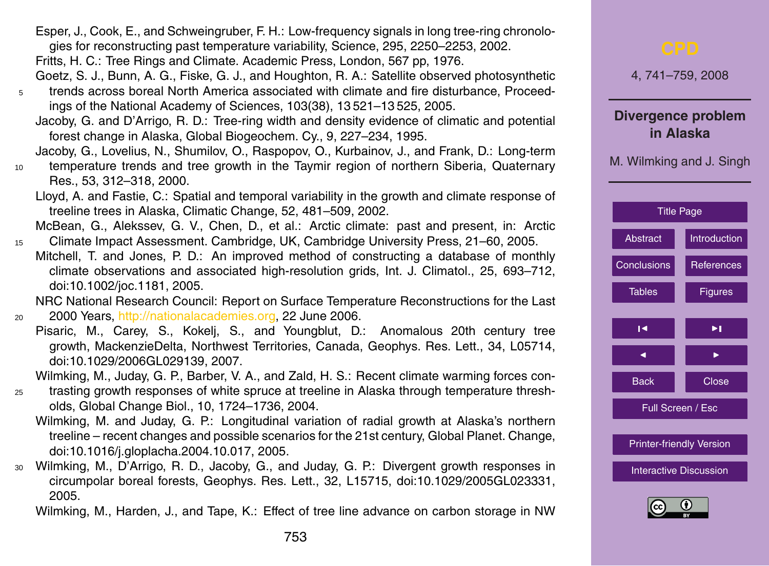- Esper, J., Cook, E., and Schweingruber, F. H.: Low-frequency signals in long tree-ring chronologies for reconstructing past temperature variability, Science, 295, 2250–2253, 2002.
- Fritts, H. C.: Tree Rings and Climate. Academic Press, London, 567 pp, 1976.
- Goetz, S. J., Bunn, A. G., Fiske, G. J., and Houghton, R. A.: Satellite observed photosynthetic <sup>5</sup> trends across boreal North America associated with climate and fire disturbance, Proceedings of the National Academy of Sciences, 103(38), 13 521–13 525, 2005.
	- Jacoby, G. and D'Arrigo, R. D.: Tree-ring width and density evidence of climatic and potential forest change in Alaska, Global Biogeochem. Cy., 9, 227–234, 1995.
	- Jacoby, G., Lovelius, N., Shumilov, O., Raspopov, O., Kurbainov, J., and Frank, D.: Long-term
- <sup>10</sup> temperature trends and tree growth in the Taymir region of northern Siberia, Quaternary Res., 53, 312–318, 2000.
	- Lloyd, A. and Fastie, C.: Spatial and temporal variability in the growth and climate response of treeline trees in Alaska, Climatic Change, 52, 481–509, 2002.
- McBean, G., Alekssev, G. V., Chen, D., et al.: Arctic climate: past and present, in: Arctic <sup>15</sup> Climate Impact Assessment. Cambridge, UK, Cambridge University Press, 21–60, 2005.
	- Mitchell, T. and Jones, P. D.: An improved method of constructing a database of monthly climate observations and associated high-resolution grids, Int. J. Climatol., 25, 693–712, doi:10.1002/joc.1181, 2005.

NRC National Research Council: Report on Surface Temperature Reconstructions for the Last <sup>20</sup> 2000 Years, [http://nationalacademies.org,](http://nationalacademies.org) 22 June 2006.

Pisaric, M., Carey, S., Kokelj, S., and Youngblut, D.: Anomalous 20th century tree growth, MackenzieDelta, Northwest Territories, Canada, Geophys. Res. Lett., 34, L05714, doi:10.1029/2006GL029139, 2007.

Wilmking, M., Juday, G. P., Barber, V. A., and Zald, H. S.: Recent climate warming forces con-

- <sup>25</sup> trasting growth responses of white spruce at treeline in Alaska through temperature thresholds, Global Change Biol., 10, 1724–1736, 2004.
	- Wilmking, M. and Juday, G. P.: Longitudinal variation of radial growth at Alaska's northern treeline – recent changes and possible scenarios for the 21st century, Global Planet. Change, doi:10.1016/j.gloplacha.2004.10.017, 2005.
- <sup>30</sup> Wilmking, M., D'Arrigo, R. D., Jacoby, G., and Juday, G. P.: Divergent growth responses in circumpolar boreal forests, Geophys. Res. Lett., 32, L15715, doi:10.1029/2005GL023331, 2005.

Wilmking, M., Harden, J., and Tape, K.: Effect of tree line advance on carbon storage in NW

| <b>CPD</b>                                                  |                     |  |  |  |
|-------------------------------------------------------------|---------------------|--|--|--|
| 4, 741-759, 2008                                            |                     |  |  |  |
| Divergence problem<br>in Alaska<br>M. Wilmking and J. Singh |                     |  |  |  |
| <b>Title Page</b>                                           |                     |  |  |  |
| Abstract                                                    | <b>Introduction</b> |  |  |  |
| <b>Conclusions</b>                                          | References          |  |  |  |
| <b>Tables</b>                                               | <b>Figures</b>      |  |  |  |
| K                                                           | ▶∣                  |  |  |  |
|                                                             |                     |  |  |  |
| <b>Back</b>                                                 | Close               |  |  |  |
| Full Screen / Esc                                           |                     |  |  |  |
| <b>Printer-friendly Version</b>                             |                     |  |  |  |
| <b>Interactive Discussion</b>                               |                     |  |  |  |
| Ē                                                           |                     |  |  |  |

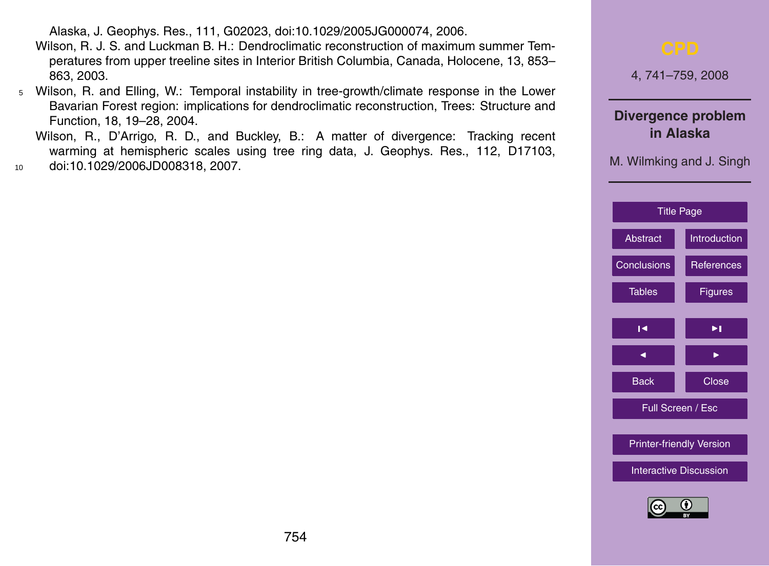Alaska, J. Geophys. Res., 111, G02023, doi:10.1029/2005JG000074, 2006.

- Wilson, R. J. S. and Luckman B. H.: Dendroclimatic reconstruction of maximum summer Temperatures from upper treeline sites in Interior British Columbia, Canada, Holocene, 13, 853– 863, 2003.
- <sup>5</sup> Wilson, R. and Elling, W.: Temporal instability in tree-growth/climate response in the Lower Bavarian Forest region: implications for dendroclimatic reconstruction, Trees: Structure and Function, 18, 19–28, 2004.
- Wilson, R., D'Arrigo, R. D., and Buckley, B.: A matter of divergence: Tracking recent warming at hemispheric scales using tree ring data, J. Geophys. Res., 112, D17103, <sup>10</sup> doi:10.1029/2006JD008318, 2007.

4, 741–759, 2008 **Divergence problem in Alaska** M. Wilmking and J. Singh [Title Page](#page-0-0) [Abstract](#page-1-0) [Introduction](#page-1-0) [Conclusions](#page-9-0) **[References](#page-11-0)** [Tables](#page-14-0) **[Figures](#page-16-0)**  $\overline{\phantom{a}}$  $\overline{\phantom{a}}$ Back **N** Close Full Screen / Esc [Printer-friendly Version](http://www.clim-past-discuss.net/4/741/2008/cpd-4-741-2008-print.pdf) [Interactive Discussion](http://www.clim-past-discuss.net/4/741/2008/cpd-4-741-2008-discussion.html)

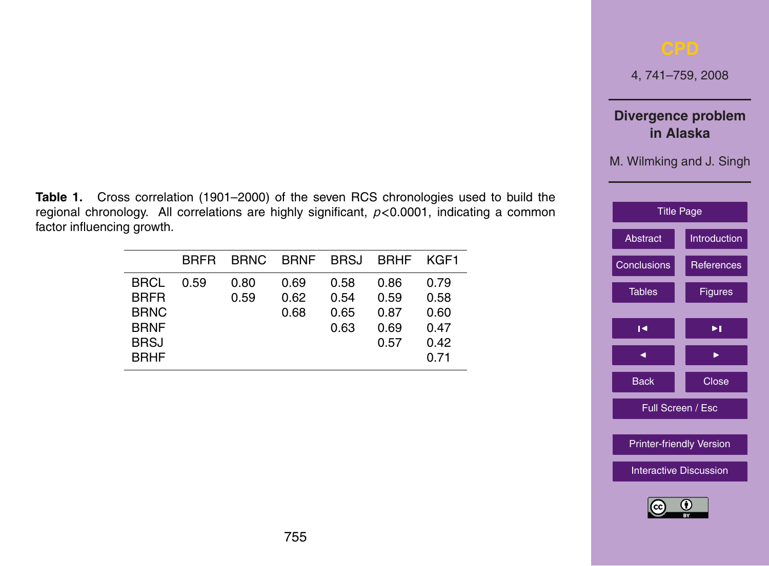4, 741–759, 2008

### **Divergence problem in Alaska**

M. Wilmking and J. Singh

| <b>Title Page</b>               |              |  |  |  |
|---------------------------------|--------------|--|--|--|
| Abstract                        | Introduction |  |  |  |
| <b>Conclusions</b>              | References   |  |  |  |
| <b>Tables</b>                   | Figures      |  |  |  |
|                                 |              |  |  |  |
| ю                               | ы            |  |  |  |
| ◀                               |              |  |  |  |
| <b>Back</b>                     | Close        |  |  |  |
| Full Screen / Esc               |              |  |  |  |
|                                 |              |  |  |  |
| <b>Printer-friendly Version</b> |              |  |  |  |
| <b>Interactive Discussion</b>   |              |  |  |  |
|                                 |              |  |  |  |



<span id="page-14-0"></span>**Table 1.** Cross correlation (1901–2000) of the seven RCS chronologies used to build the regional chronology. All correlations are highly significant, *p<*0.0001, indicating a common factor influencing growth.

|             | <b>BRFR</b> | BRNC. | BRNF BRSJ BRHF |      |      | KGF1 |
|-------------|-------------|-------|----------------|------|------|------|
| <b>BRCL</b> | 0.59        | 0.80  | 0.69           | 0.58 | 0.86 | 0.79 |
| <b>BRFR</b> |             | 0.59  | 0.62           | 0.54 | 0.59 | 0.58 |
| <b>BRNC</b> |             |       | 0.68           | 0.65 | 0.87 | 0.60 |
| <b>BRNF</b> |             |       |                | 0.63 | 0.69 | 0.47 |
| <b>BRSJ</b> |             |       |                |      | 0.57 | 0.42 |
| <b>BRHF</b> |             |       |                |      |      | 0.71 |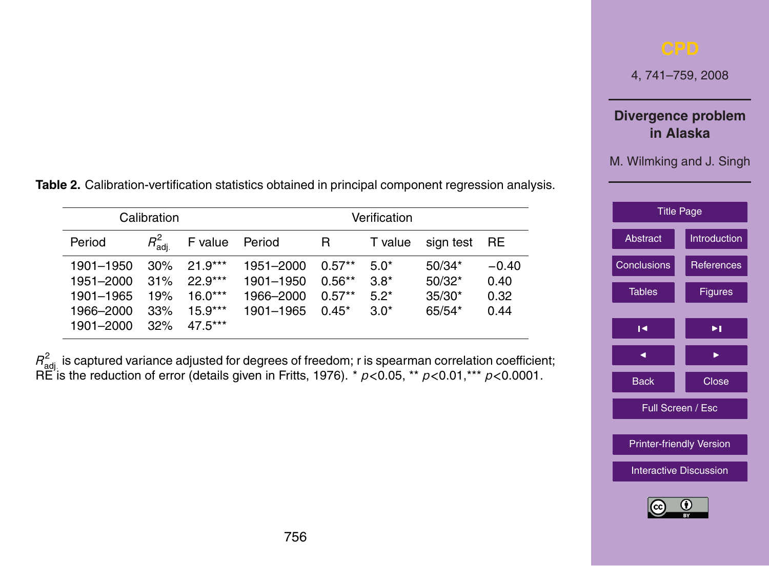4, 741–759, 2008

### **Divergence problem in Alaska**

M. Wilmking and J. Singh

| <b>Title Page</b>               |                     |  |  |  |  |
|---------------------------------|---------------------|--|--|--|--|
| Abstract                        | <b>Introduction</b> |  |  |  |  |
| <b>Conclusions</b>              | <b>References</b>   |  |  |  |  |
| <b>Tables</b>                   | Figures             |  |  |  |  |
| ы                               | ы                   |  |  |  |  |
|                                 |                     |  |  |  |  |
| ◀                               | ▶                   |  |  |  |  |
| <b>Back</b>                     | Close               |  |  |  |  |
| Full Screen / Esc               |                     |  |  |  |  |
| <b>Printer-friendly Version</b> |                     |  |  |  |  |
| <b>Interactive Discussion</b>   |                     |  |  |  |  |
| (c <sub>c</sub> )               |                     |  |  |  |  |

**Table 2.** Calibration-vertification statistics obtained in principal component regression analysis.

| Calibration                                                   |                                 |                                                               | Verification                                     |                                             |                                      |                                              |                                 |
|---------------------------------------------------------------|---------------------------------|---------------------------------------------------------------|--------------------------------------------------|---------------------------------------------|--------------------------------------|----------------------------------------------|---------------------------------|
| Period                                                        | $R^2_\mathsf{adi}$              | F value                                                       | Period                                           | R                                           | T value                              | sign test                                    | <b>RE</b>                       |
| 1901-1950<br>1951-2000<br>1901-1965<br>1966-2000<br>1901-2000 | 30%<br>31%<br>19%<br>33%<br>32% | $21.9***$<br>$22.9***$<br>$16.0***$<br>$15.9***$<br>$47.5***$ | 1951-2000<br>1901-1950<br>1966-2000<br>1901-1965 | $0.57**$<br>$0.56**$<br>$0.57**$<br>$0.45*$ | $5.0*$<br>$3.8*$<br>$5.2*$<br>$3.0*$ | $50/34*$<br>$50/32*$<br>$35/30*$<br>$65/54*$ | $-0.40$<br>0.40<br>0.32<br>0.44 |

 $R^2_{\rm adj.}$  is captured variance adjusted for degrees of freedom; r is spearman correlation coefficient; RE is the reduction of error (details given in Fritts, 1976). \* *p<*0.05, \*\* *p<*0.01,\*\*\* *p<*0.0001.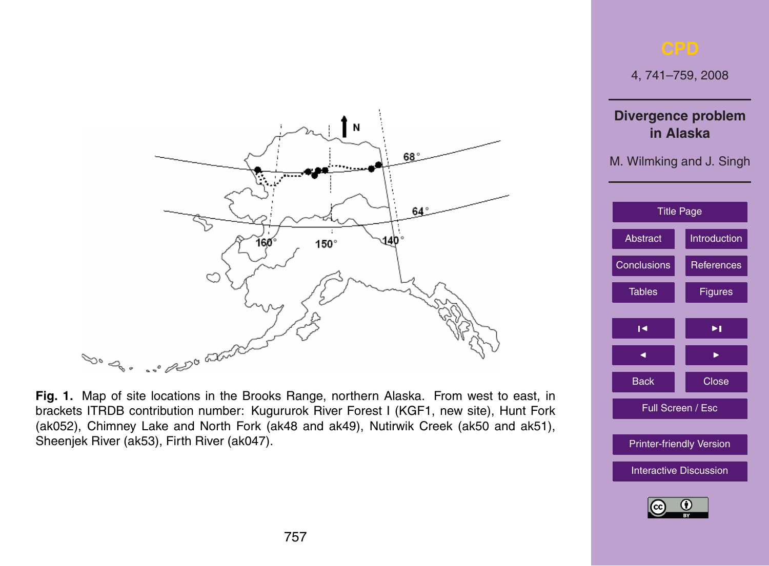## <span id="page-16-0"></span>N 68° **The Contract Contract** 64 140'  $160^\circ$ 150° C Dog. .. 200 aux

**Fig. 1.** Map of site locations in the Brooks Range, northern Alaska. From west to east, in brackets ITRDB contribution number: Kugururok River Forest I (KGF1, new site), Hunt Fork (ak052), Chimney Lake and North Fork (ak48 and ak49), Nutirwik Creek (ak50 and ak51), Sheenjek River (ak53), Firth River (ak047).



4, 741–759, 2008

#### **Divergence problem in Alaska**

M. Wilmking and J. Singh

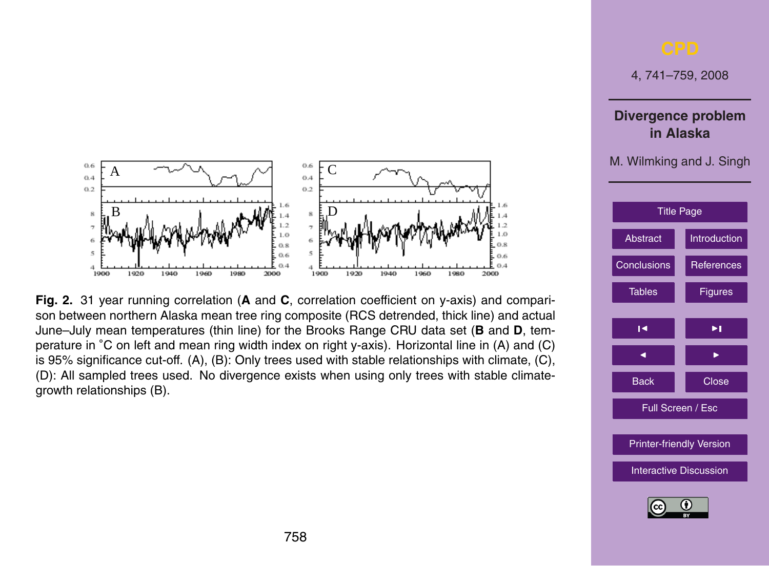

 $H_{\rm eff}$  table 2: Please substitute the current header with "Calibration-verification-verification-verification" statistics

**Fig. 2.** 31 year running correlation (**A** and **C**, correlation coefficient on y-axis) and comparison between northern Alaska mean tree ring composite (RCS detrended, thick line) and actual June–July mean temperatures (thin line) for the Brooks Range CRU data set (**B** and **D**, temperature in ◦C on left and mean ring width index on right y-axis). Horizontal line in (A) and (C) is 95% significance cut-off. (A), (B): Only trees used with stable relationships with climate, (C), (D): All sampled trees used. No divergence exists when using only trees with stable climategrowth relationships (B).

4, 741–759, 2008

**Divergence problem in Alaska**

M. Wilmking and J. Singh